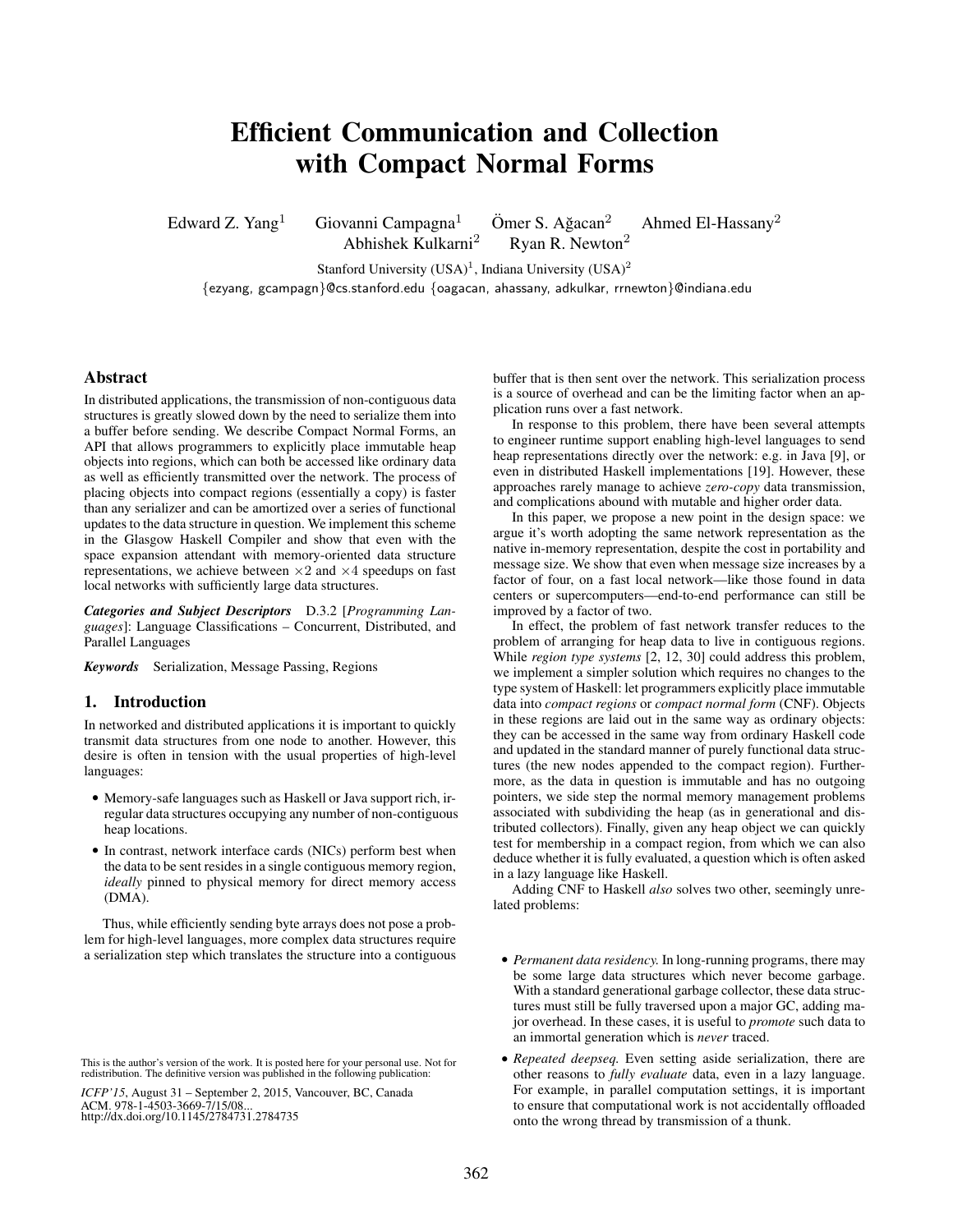# Efficient Communication and Collection with Compact Normal Forms

Edward Z. Yang<sup>1</sup> Giovanni Campagna<sup>1</sup> Ömer S. Ağacan<sup>2</sup> Ahmed El-Hassany<sup>2</sup>

Abhishek Kulkarni<sup>2</sup> Ryan R. Newton<sup>2</sup>

Stanford University  $(USA)^1$ , Indiana University  $(USA)^2$ 

{ezyang, gcampagn}@cs.stanford.edu {oagacan, ahassany, adkulkar, rrnewton}@indiana.edu

# Abstract

In distributed applications, the transmission of non-contiguous data structures is greatly slowed down by the need to serialize them into a buffer before sending. We describe Compact Normal Forms, an API that allows programmers to explicitly place immutable heap objects into regions, which can both be accessed like ordinary data as well as efficiently transmitted over the network. The process of placing objects into compact regions (essentially a copy) is faster than any serializer and can be amortized over a series of functional updates to the data structure in question. We implement this scheme in the Glasgow Haskell Compiler and show that even with the space expansion attendant with memory-oriented data structure representations, we achieve between  $\times 2$  and  $\times 4$  speedups on fast local networks with sufficiently large data structures.

*Categories and Subject Descriptors* D.3.2 [*Programming Languages*]: Language Classifications – Concurrent, Distributed, and Parallel Languages

*Keywords* Serialization, Message Passing, Regions

# 1. Introduction

In networked and distributed applications it is important to quickly transmit data structures from one node to another. However, this desire is often in tension with the usual properties of high-level languages:

- Memory-safe languages such as Haskell or Java support rich, irregular data structures occupying any number of non-contiguous heap locations.
- In contrast, network interface cards (NICs) perform best when the data to be sent resides in a single contiguous memory region, *ideally* pinned to physical memory for direct memory access (DMA).

Thus, while efficiently sending byte arrays does not pose a problem for high-level languages, more complex data structures require a serialization step which translates the structure into a contiguous

*ICFP'15*, August 31 – September 2, 2015, Vancouver, BC, Canada ACM. 978-1-4503-3669-7/15/08... http://dx.doi.org/10.1145/2784731.2784735

buffer that is then sent over the network. This serialization process is a source of overhead and can be the limiting factor when an application runs over a fast network.

In response to this problem, there have been several attempts to engineer runtime support enabling high-level languages to send heap representations directly over the network: e.g. in Java [9], or even in distributed Haskell implementations [19]. However, these approaches rarely manage to achieve *zero-copy* data transmission, and complications abound with mutable and higher order data.

In this paper, we propose a new point in the design space: we argue it's worth adopting the same network representation as the native in-memory representation, despite the cost in portability and message size. We show that even when message size increases by a factor of four, on a fast local network—like those found in data centers or supercomputers—end-to-end performance can still be improved by a factor of two.

In effect, the problem of fast network transfer reduces to the problem of arranging for heap data to live in contiguous regions. While *region type systems* [2, 12, 30] could address this problem, we implement a simpler solution which requires no changes to the type system of Haskell: let programmers explicitly place immutable data into *compact regions* or *compact normal form* (CNF). Objects in these regions are laid out in the same way as ordinary objects: they can be accessed in the same way from ordinary Haskell code and updated in the standard manner of purely functional data structures (the new nodes appended to the compact region). Furthermore, as the data in question is immutable and has no outgoing pointers, we side step the normal memory management problems associated with subdividing the heap (as in generational and distributed collectors). Finally, given any heap object we can quickly test for membership in a compact region, from which we can also deduce whether it is fully evaluated, a question which is often asked in a lazy language like Haskell.

Adding CNF to Haskell *also* solves two other, seemingly unrelated problems:

- *Permanent data residency.* In long-running programs, there may be some large data structures which never become garbage. With a standard generational garbage collector, these data structures must still be fully traversed upon a major GC, adding major overhead. In these cases, it is useful to *promote* such data to an immortal generation which is *never* traced.
- *Repeated deepseq.* Even setting aside serialization, there are other reasons to *fully evaluate* data, even in a lazy language. For example, in parallel computation settings, it is important to ensure that computational work is not accidentally offloaded onto the wrong thread by transmission of a thunk.

This is the author's version of the work. It is posted here for your personal use. Not for redistribution. The definitive version was published in the following publication: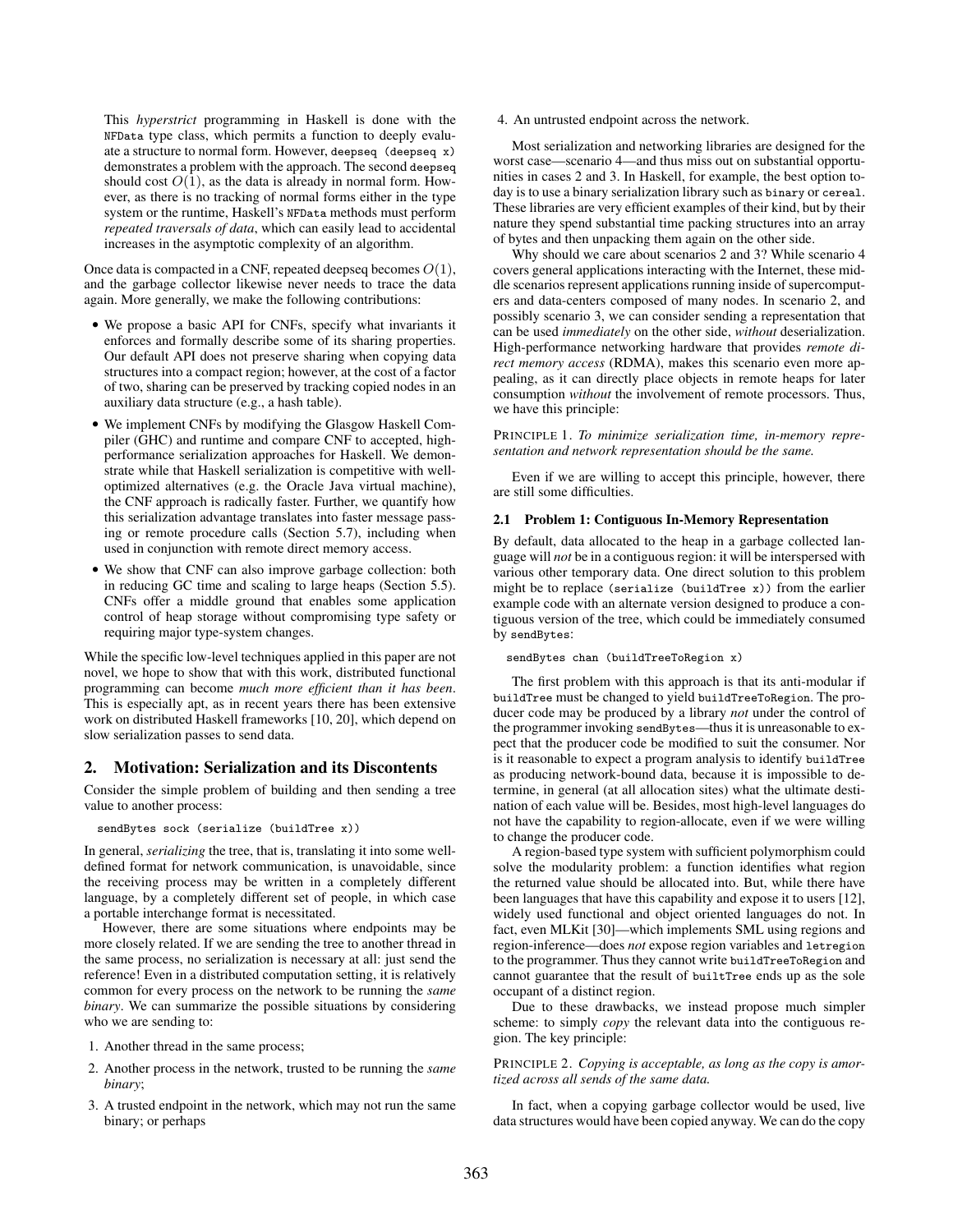This *hyperstrict* programming in Haskell is done with the NFData type class, which permits a function to deeply evaluate a structure to normal form. However, deepseq (deepseq x) demonstrates a problem with the approach. The second deepseq should cost  $O(1)$ , as the data is already in normal form. However, as there is no tracking of normal forms either in the type system or the runtime, Haskell's NFData methods must perform *repeated traversals of data*, which can easily lead to accidental increases in the asymptotic complexity of an algorithm.

Once data is compacted in a CNF, repeated deepseq becomes  $O(1)$ , and the garbage collector likewise never needs to trace the data again. More generally, we make the following contributions:

- We propose a basic API for CNFs, specify what invariants it enforces and formally describe some of its sharing properties. Our default API does not preserve sharing when copying data structures into a compact region; however, at the cost of a factor of two, sharing can be preserved by tracking copied nodes in an auxiliary data structure (e.g., a hash table).
- We implement CNFs by modifying the Glasgow Haskell Compiler (GHC) and runtime and compare CNF to accepted, highperformance serialization approaches for Haskell. We demonstrate while that Haskell serialization is competitive with welloptimized alternatives (e.g. the Oracle Java virtual machine), the CNF approach is radically faster. Further, we quantify how this serialization advantage translates into faster message passing or remote procedure calls (Section 5.7), including when used in conjunction with remote direct memory access.
- We show that CNF can also improve garbage collection: both in reducing GC time and scaling to large heaps (Section 5.5). CNFs offer a middle ground that enables some application control of heap storage without compromising type safety or requiring major type-system changes.

While the specific low-level techniques applied in this paper are not novel, we hope to show that with this work, distributed functional programming can become *much more efficient than it has been*. This is especially apt, as in recent years there has been extensive work on distributed Haskell frameworks [10, 20], which depend on slow serialization passes to send data.

## 2. Motivation: Serialization and its Discontents

Consider the simple problem of building and then sending a tree value to another process:

sendBytes sock (serialize (buildTree x))

In general, *serializing* the tree, that is, translating it into some welldefined format for network communication, is unavoidable, since the receiving process may be written in a completely different language, by a completely different set of people, in which case a portable interchange format is necessitated.

However, there are some situations where endpoints may be more closely related. If we are sending the tree to another thread in the same process, no serialization is necessary at all: just send the reference! Even in a distributed computation setting, it is relatively common for every process on the network to be running the *same binary*. We can summarize the possible situations by considering who we are sending to:

- 1. Another thread in the same process;
- 2. Another process in the network, trusted to be running the *same binary*;
- 3. A trusted endpoint in the network, which may not run the same binary; or perhaps

#### 4. An untrusted endpoint across the network.

Most serialization and networking libraries are designed for the worst case—scenario 4—and thus miss out on substantial opportunities in cases 2 and 3. In Haskell, for example, the best option today is to use a binary serialization library such as binary or cereal. These libraries are very efficient examples of their kind, but by their nature they spend substantial time packing structures into an array of bytes and then unpacking them again on the other side.

Why should we care about scenarios 2 and 3? While scenario 4 covers general applications interacting with the Internet, these middle scenarios represent applications running inside of supercomputers and data-centers composed of many nodes. In scenario 2, and possibly scenario 3, we can consider sending a representation that can be used *immediately* on the other side, *without* deserialization. High-performance networking hardware that provides *remote direct memory access* (RDMA), makes this scenario even more appealing, as it can directly place objects in remote heaps for later consumption *without* the involvement of remote processors. Thus, we have this principle:

PRINCIPLE 1. *To minimize serialization time, in-memory representation and network representation should be the same.*

Even if we are willing to accept this principle, however, there are still some difficulties.

#### 2.1 Problem 1: Contiguous In-Memory Representation

By default, data allocated to the heap in a garbage collected language will *not* be in a contiguous region: it will be interspersed with various other temporary data. One direct solution to this problem might be to replace (serialize (buildTree x)) from the earlier example code with an alternate version designed to produce a contiguous version of the tree, which could be immediately consumed by sendBytes:

#### sendBytes chan (buildTreeToRegion x)

The first problem with this approach is that its anti-modular if buildTree must be changed to yield buildTreeToRegion. The producer code may be produced by a library *not* under the control of the programmer invoking sendBytes—thus it is unreasonable to expect that the producer code be modified to suit the consumer. Nor is it reasonable to expect a program analysis to identify buildTree as producing network-bound data, because it is impossible to determine, in general (at all allocation sites) what the ultimate destination of each value will be. Besides, most high-level languages do not have the capability to region-allocate, even if we were willing to change the producer code.

A region-based type system with sufficient polymorphism could solve the modularity problem: a function identifies what region the returned value should be allocated into. But, while there have been languages that have this capability and expose it to users [12], widely used functional and object oriented languages do not. In fact, even MLKit [30]—which implements SML using regions and region-inference—does *not* expose region variables and letregion to the programmer. Thus they cannot write buildTreeToRegion and cannot guarantee that the result of builtTree ends up as the sole occupant of a distinct region.

Due to these drawbacks, we instead propose much simpler scheme: to simply *copy* the relevant data into the contiguous region. The key principle:

## PRINCIPLE 2. *Copying is acceptable, as long as the copy is amortized across all sends of the same data.*

In fact, when a copying garbage collector would be used, live data structures would have been copied anyway. We can do the copy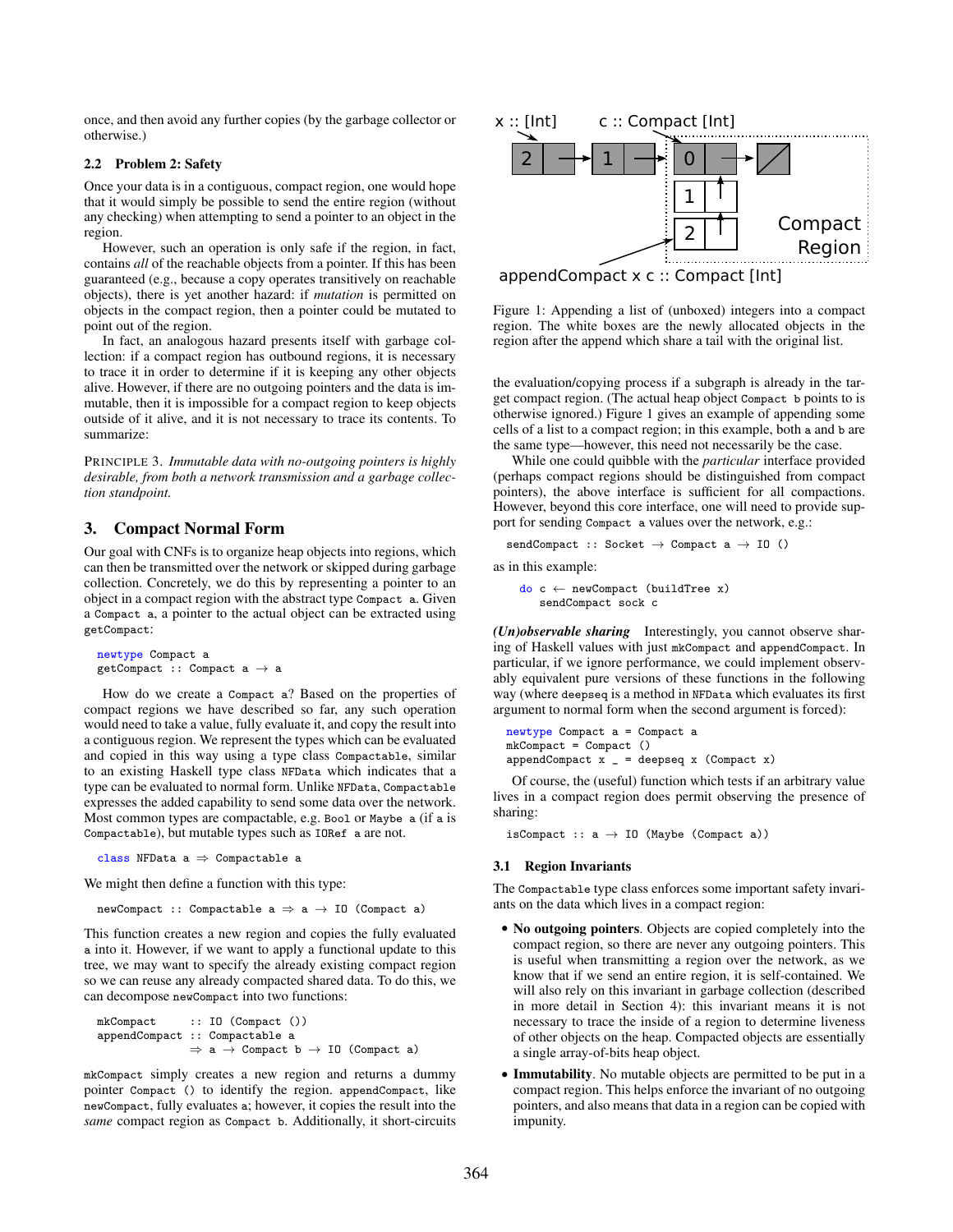once, and then avoid any further copies (by the garbage collector or otherwise.)

#### 2.2 Problem 2: Safety

Once your data is in a contiguous, compact region, one would hope that it would simply be possible to send the entire region (without any checking) when attempting to send a pointer to an object in the region.

However, such an operation is only safe if the region, in fact, contains *all* of the reachable objects from a pointer. If this has been guaranteed (e.g., because a copy operates transitively on reachable objects), there is yet another hazard: if *mutation* is permitted on objects in the compact region, then a pointer could be mutated to point out of the region.

In fact, an analogous hazard presents itself with garbage collection: if a compact region has outbound regions, it is necessary to trace it in order to determine if it is keeping any other objects alive. However, if there are no outgoing pointers and the data is immutable, then it is impossible for a compact region to keep objects outside of it alive, and it is not necessary to trace its contents. To summarize:

PRINCIPLE 3. *Immutable data with no-outgoing pointers is highly desirable, from both a network transmission and a garbage collection standpoint.*

# 3. Compact Normal Form

Our goal with CNFs is to organize heap objects into regions, which can then be transmitted over the network or skipped during garbage collection. Concretely, we do this by representing a pointer to an object in a compact region with the abstract type Compact a. Given a Compact a, a pointer to the actual object can be extracted using getCompact:

```
newtype Compact a
<code>getCompact</code> :: Compact a \rightarrow a
```
How do we create a Compact a? Based on the properties of compact regions we have described so far, any such operation would need to take a value, fully evaluate it, and copy the result into a contiguous region. We represent the types which can be evaluated and copied in this way using a type class Compactable, similar to an existing Haskell type class NFData which indicates that a type can be evaluated to normal form. Unlike NFData, Compactable expresses the added capability to send some data over the network. Most common types are compactable, e.g. Bool or Maybe a (if a is Compactable), but mutable types such as IORef a are not.

class NFData  $a \Rightarrow$  Compactable a

We might then define a function with this type:

newCompact :: Compactable  $a \Rightarrow a \rightarrow 10$  (Compact a)

This function creates a new region and copies the fully evaluated a into it. However, if we want to apply a functional update to this tree, we may want to specify the already existing compact region so we can reuse any already compacted shared data. To do this, we can decompose newCompact into two functions:

```
mkCompact :: IO (Compact ())
appendCompact :: Compactable a
                 \Rightarrow a \rightarrow Compact b \rightarrow IO (Compact a)
```
mkCompact simply creates a new region and returns a dummy pointer Compact () to identify the region. appendCompact, like newCompact, fully evaluates a; however, it copies the result into the *same* compact region as Compact b. Additionally, it short-circuits



appendCompact x c :: Compact [Int]

Figure 1: Appending a list of (unboxed) integers into a compact region. The white boxes are the newly allocated objects in the region after the append which share a tail with the original list.

the evaluation/copying process if a subgraph is already in the target compact region. (The actual heap object Compact b points to is otherwise ignored.) Figure 1 gives an example of appending some cells of a list to a compact region; in this example, both a and b are the same type—however, this need not necessarily be the case.

While one could quibble with the *particular* interface provided (perhaps compact regions should be distinguished from compact pointers), the above interface is sufficient for all compactions. However, beyond this core interface, one will need to provide support for sending Compact a values over the network, e.g.:

```
sendCompact :: Socket \rightarrow Compact a \rightarrow I0 ()
```
as in this example:

do c ← newCompact (buildTree x) sendCompact sock c

*(Un)observable sharing* Interestingly, you cannot observe sharing of Haskell values with just mkCompact and appendCompact. In particular, if we ignore performance, we could implement observably equivalent pure versions of these functions in the following way (where deepseq is a method in NFData which evaluates its first argument to normal form when the second argument is forced):

newtype Compact a = Compact a mkCompact = Compact ()  $appendCompact$   $x = deepseq$   $x$  (Compact  $x$ )

Of course, the (useful) function which tests if an arbitrary value lives in a compact region does permit observing the presence of sharing:

isCompact ::  $a \rightarrow 10$  (Maybe (Compact a))

#### 3.1 Region Invariants

The Compactable type class enforces some important safety invariants on the data which lives in a compact region:

- No outgoing pointers. Objects are copied completely into the compact region, so there are never any outgoing pointers. This is useful when transmitting a region over the network, as we know that if we send an entire region, it is self-contained. We will also rely on this invariant in garbage collection (described in more detail in Section 4): this invariant means it is not necessary to trace the inside of a region to determine liveness of other objects on the heap. Compacted objects are essentially a single array-of-bits heap object.
- Immutability. No mutable objects are permitted to be put in a compact region. This helps enforce the invariant of no outgoing pointers, and also means that data in a region can be copied with impunity.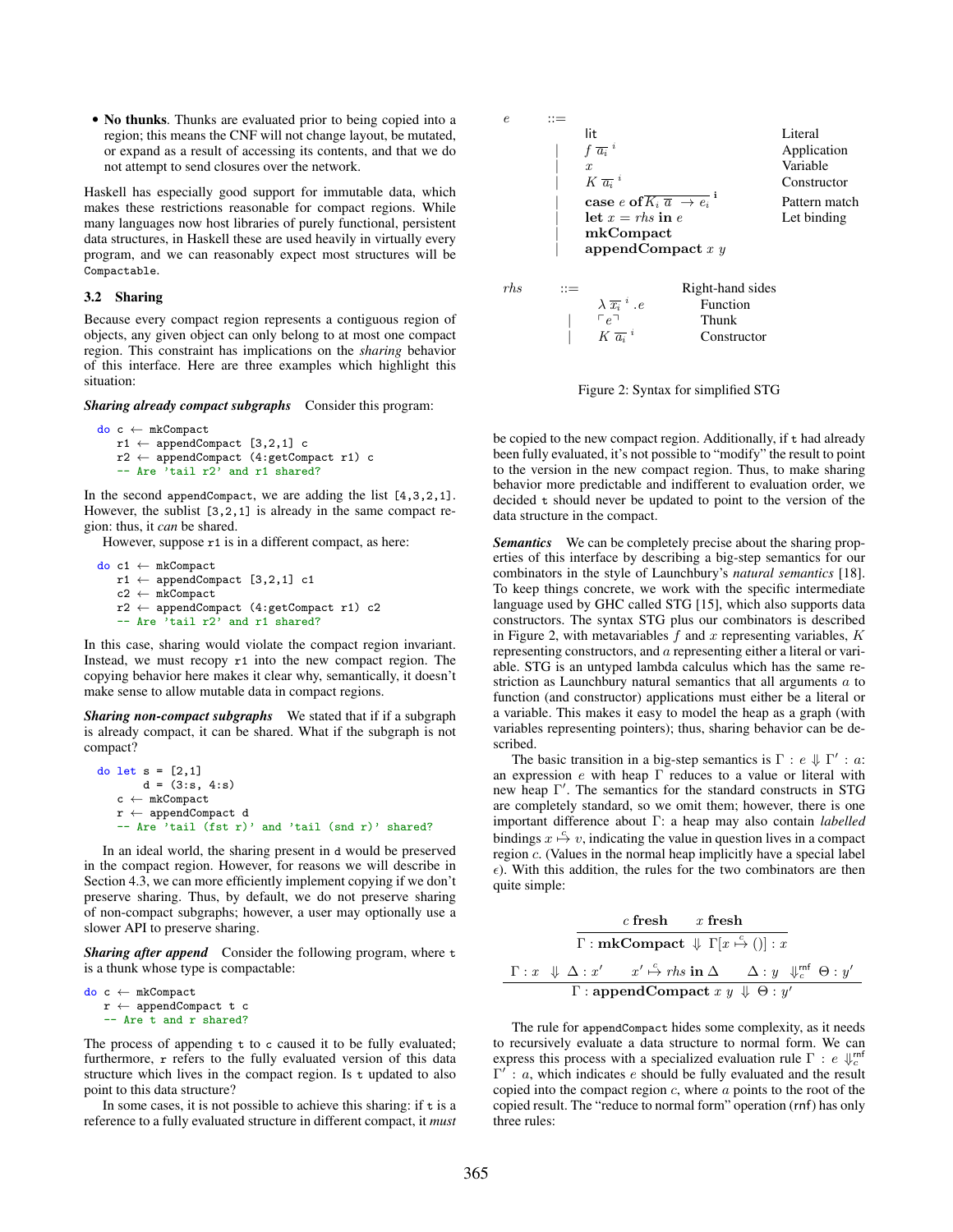• No thunks. Thunks are evaluated prior to being copied into a region; this means the CNF will not change layout, be mutated, or expand as a result of accessing its contents, and that we do not attempt to send closures over the network.

Haskell has especially good support for immutable data, which makes these restrictions reasonable for compact regions. While many languages now host libraries of purely functional, persistent data structures, in Haskell these are used heavily in virtually every program, and we can reasonably expect most structures will be Compactable.

#### 3.2 Sharing

Because every compact region represents a contiguous region of objects, any given object can only belong to at most one compact region. This constraint has implications on the *sharing* behavior of this interface. Here are three examples which highlight this situation:

*Sharing already compact subgraphs* Consider this program:

```
do c ← mkCompact
   r1 \leftarrow appendCompact [3,2,1] c
   r2 \leftarrow \text{appendCompact} (4:getCompact r1) c
    -- Are 'tail r2' and r1 shared?
```
In the second appendCompact, we are adding the list  $[4,3,2,1]$ . However, the sublist [3,2,1] is already in the same compact region: thus, it *can* be shared.

However, suppose  $r1$  is in a different compact, as here:

do c1 ← mkCompact  $r1 \leftarrow$  appendCompact [3,2,1] c1 c2 ← mkCompact r2 ← appendCompact (4:getCompact r1) c2 -- Are 'tail r2' and r1 shared?

In this case, sharing would violate the compact region invariant. Instead, we must recopy r1 into the new compact region. The copying behavior here makes it clear why, semantically, it doesn't make sense to allow mutable data in compact regions.

*Sharing non-compact subgraphs* We stated that if if a subgraph is already compact, it can be shared. What if the subgraph is not compact?

```
do let s = [2,1]d = (3:s, 4:s)c \leftarrow mkCompact
   r \leftarrow appendCompact d
   -- Are 'tail (fst r)' and 'tail (snd r)' shared?
```
In an ideal world, the sharing present in d would be preserved in the compact region. However, for reasons we will describe in Section 4.3, we can more efficiently implement copying if we don't preserve sharing. Thus, by default, we do not preserve sharing of non-compact subgraphs; however, a user may optionally use a slower API to preserve sharing.

*Sharing after append* Consider the following program, where t is a thunk whose type is compactable:

```
do c ← mkCompact
   r \leftarrow appendCompact t c
   -- Are t and r shared?
```
The process of appending  $t$  to c caused it to be fully evaluated; furthermore, r refers to the fully evaluated version of this data structure which lives in the compact region. Is t updated to also point to this data structure?

In some cases, it is not possible to achieve this sharing: if  $t$  is a reference to a fully evaluated structure in different compact, it *must*



Figure 2: Syntax for simplified STG

be copied to the new compact region. Additionally, if t had already been fully evaluated, it's not possible to "modify" the result to point to the version in the new compact region. Thus, to make sharing behavior more predictable and indifferent to evaluation order, we decided t should never be updated to point to the version of the data structure in the compact.

*Semantics* We can be completely precise about the sharing properties of this interface by describing a big-step semantics for our combinators in the style of Launchbury's *natural semantics* [18]. To keep things concrete, we work with the specific intermediate language used by GHC called STG [15], which also supports data constructors. The syntax STG plus our combinators is described in Figure 2, with metavariables  $f$  and  $x$  representing variables,  $K$ representing constructors, and a representing either a literal or variable. STG is an untyped lambda calculus which has the same restriction as Launchbury natural semantics that all arguments a to function (and constructor) applications must either be a literal or a variable. This makes it easy to model the heap as a graph (with variables representing pointers); thus, sharing behavior can be described.

The basic transition in a big-step semantics is  $\Gamma : e \Downarrow \Gamma' : a$ : an expression  $e$  with heap  $\Gamma$  reduces to a value or literal with new heap Γ� . The semantics for the standard constructs in STG are completely standard, so we omit them; however, there is one important difference about Γ: a heap may also contain *labelled* bindings  $x \stackrel{c}{\mapsto} v$ , indicating the value in question lives in a compact region c. (Values in the normal heap implicitly have a special label  $\epsilon$ ). With this addition, the rules for the two combinators are then quite simple:

$$
\cfrac{c \text{ fresh } x \text{ fresh}}{\Gamma : \textbf{mkCompact} \Downarrow \Gamma[x \xrightarrow{c} ()]: x}
$$
\n
$$
\cfrac{\Gamma : x \Downarrow \Delta : x' \qquad x' \xrightarrow{c} \text{rhs in } \Delta \qquad \Delta : y \Downarrow_c^{\text{mf}} \Theta : y'}{\Gamma : \textbf{appendCompact} \ x \ y \Downarrow \Theta : y'}
$$

The rule for appendCompact hides some complexity, as it needs to recursively evaluate a data structure to normal form. We can express this process with a specialized evaluation rule  $\Gamma$ :  $e \Downarrow_c^{rnf}$  $\Gamma'$ : a, which indicates e should be fully evaluated and the result copied into the compact region  $c$ , where  $a$  points to the root of the copied result. The "reduce to normal form" operation (rnf) has only three rules: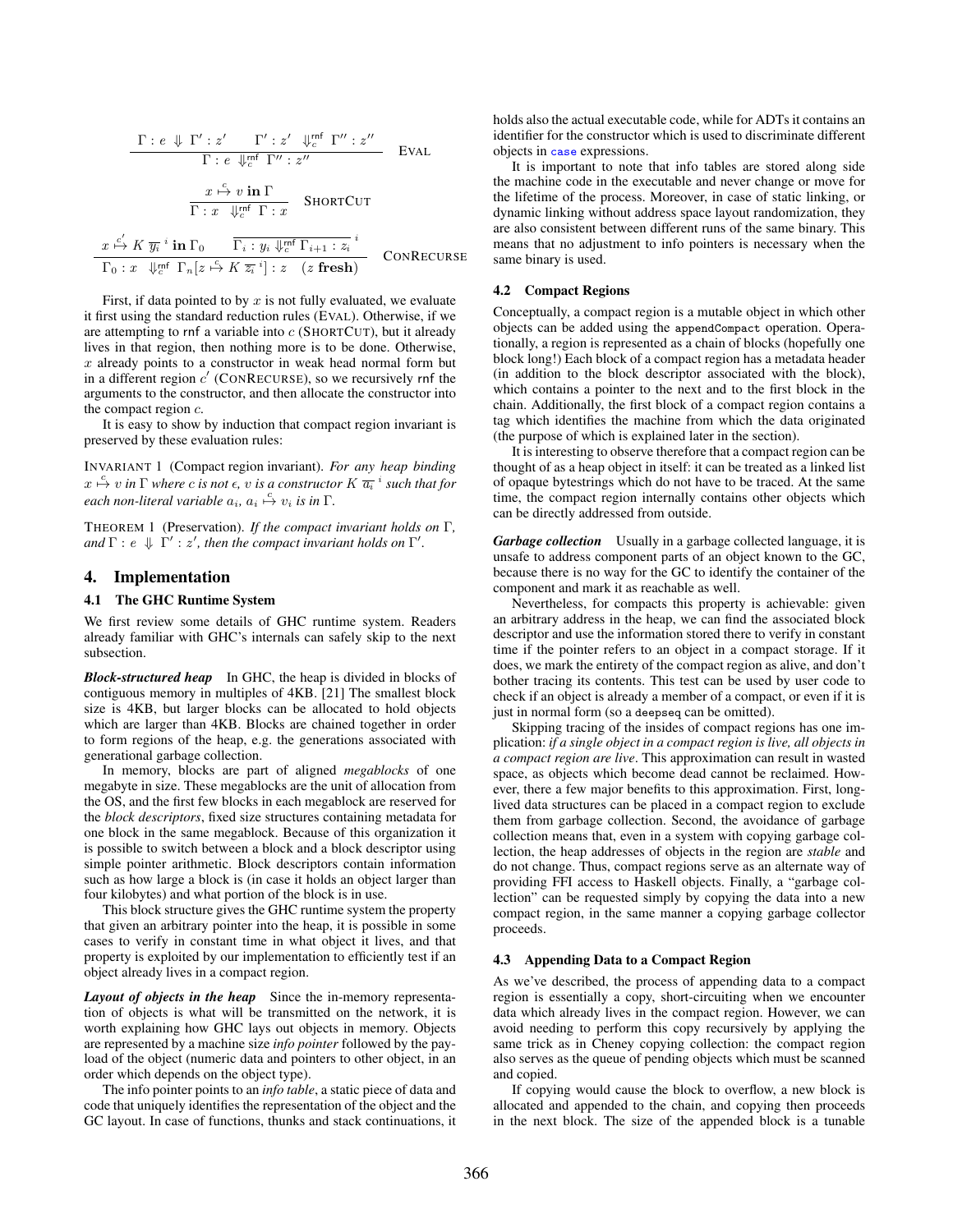$$
\frac{\Gamma : e \Downarrow \Gamma' : z' \quad \Gamma' : z' \quad \Downarrow_c^{\text{mf}} \Gamma'' : z''}{\Gamma : e \Downarrow_c^{\text{mf}} \Gamma'' : z''}
$$
 EVAL  

$$
\frac{x \stackrel{c}{\mapsto} v \text{ in } \Gamma}{\Gamma : x \quad \Downarrow_c^{\text{mf}} \Gamma : x}
$$
 SHORTCUT  

$$
\frac{x \stackrel{c'}{\mapsto} K \overline{y_i} \text{ in } \Gamma_0 \qquad \overline{\Gamma_i : y_i \Downarrow_c^{\text{mf}} \Gamma_{i+1} : z_i} \text{ in } \Gamma_0 : x \quad \Downarrow_c^{\text{mf}} \Gamma_n[z \stackrel{c}{\mapsto} K \overline{z_i} \text{ in }] : z \quad (z \text{ fresh})}
$$
 CONRECURSE

First, if data pointed to by  $x$  is not fully evaluated, we evaluate it first using the standard reduction rules (EVAL). Otherwise, if we are attempting to rnf a variable into  $c$  (SHORTCUT), but it already lives in that region, then nothing more is to be done. Otherwise,  $x$  already points to a constructor in weak head normal form but in a different region  $c'$  (CONRECURSE), so we recursively rnf the arguments to the constructor, and then allocate the constructor into the compact region c.

It is easy to show by induction that compact region invariant is preserved by these evaluation rules:

INVARIANT 1 (Compact region invariant). *For any heap binding*  $x \stackrel{c}{\mapsto} v$  *in*  $\Gamma$  *where c is not*  $\epsilon$ *, v is a constructor*  $K \overline{a_i}^i$  *such that for*  $\mathit{each}$  *non-literal variable*  $a_i$ ,  $a_i \overset{c}{\mapsto} v_i$  *is in*  $\Gamma$ .

THEOREM 1 (Preservation). *If the compact invariant holds on* Γ*, and*  $\Gamma$  :  $e \Downarrow \Gamma'$  :  $z'$ , then the compact invariant holds on  $\Gamma'$ .

#### 4. Implementation

#### 4.1 The GHC Runtime System

We first review some details of GHC runtime system. Readers already familiar with GHC's internals can safely skip to the next subsection.

*Block-structured heap* In GHC, the heap is divided in blocks of contiguous memory in multiples of 4KB. [21] The smallest block size is 4KB, but larger blocks can be allocated to hold objects which are larger than 4KB. Blocks are chained together in order to form regions of the heap, e.g. the generations associated with generational garbage collection.

In memory, blocks are part of aligned *megablocks* of one megabyte in size. These megablocks are the unit of allocation from the OS, and the first few blocks in each megablock are reserved for the *block descriptors*, fixed size structures containing metadata for one block in the same megablock. Because of this organization it is possible to switch between a block and a block descriptor using simple pointer arithmetic. Block descriptors contain information such as how large a block is (in case it holds an object larger than four kilobytes) and what portion of the block is in use.

This block structure gives the GHC runtime system the property that given an arbitrary pointer into the heap, it is possible in some cases to verify in constant time in what object it lives, and that property is exploited by our implementation to efficiently test if an object already lives in a compact region.

*Layout of objects in the heap* Since the in-memory representation of objects is what will be transmitted on the network, it is worth explaining how GHC lays out objects in memory. Objects are represented by a machine size *info pointer* followed by the payload of the object (numeric data and pointers to other object, in an order which depends on the object type).

The info pointer points to an *info table*, a static piece of data and code that uniquely identifies the representation of the object and the GC layout. In case of functions, thunks and stack continuations, it holds also the actual executable code, while for ADTs it contains an identifier for the constructor which is used to discriminate different objects in case expressions.

It is important to note that info tables are stored along side the machine code in the executable and never change or move for the lifetime of the process. Moreover, in case of static linking, or dynamic linking without address space layout randomization, they are also consistent between different runs of the same binary. This means that no adjustment to info pointers is necessary when the same binary is used.

#### 4.2 Compact Regions

Conceptually, a compact region is a mutable object in which other objects can be added using the appendCompact operation. Operationally, a region is represented as a chain of blocks (hopefully one block long!) Each block of a compact region has a metadata header (in addition to the block descriptor associated with the block), which contains a pointer to the next and to the first block in the chain. Additionally, the first block of a compact region contains a tag which identifies the machine from which the data originated (the purpose of which is explained later in the section).

It is interesting to observe therefore that a compact region can be thought of as a heap object in itself: it can be treated as a linked list of opaque bytestrings which do not have to be traced. At the same time, the compact region internally contains other objects which can be directly addressed from outside.

*Garbage collection* Usually in a garbage collected language, it is unsafe to address component parts of an object known to the GC, because there is no way for the GC to identify the container of the component and mark it as reachable as well.

Nevertheless, for compacts this property is achievable: given an arbitrary address in the heap, we can find the associated block descriptor and use the information stored there to verify in constant time if the pointer refers to an object in a compact storage. If it does, we mark the entirety of the compact region as alive, and don't bother tracing its contents. This test can be used by user code to check if an object is already a member of a compact, or even if it is just in normal form (so a deepseq can be omitted).

Skipping tracing of the insides of compact regions has one implication: *if a single object in a compact region is live, all objects in a compact region are live*. This approximation can result in wasted space, as objects which become dead cannot be reclaimed. However, there a few major benefits to this approximation. First, longlived data structures can be placed in a compact region to exclude them from garbage collection. Second, the avoidance of garbage collection means that, even in a system with copying garbage collection, the heap addresses of objects in the region are *stable* and do not change. Thus, compact regions serve as an alternate way of providing FFI access to Haskell objects. Finally, a "garbage collection" can be requested simply by copying the data into a new compact region, in the same manner a copying garbage collector proceeds.

#### 4.3 Appending Data to a Compact Region

As we've described, the process of appending data to a compact region is essentially a copy, short-circuiting when we encounter data which already lives in the compact region. However, we can avoid needing to perform this copy recursively by applying the same trick as in Cheney copying collection: the compact region also serves as the queue of pending objects which must be scanned and copied.

If copying would cause the block to overflow, a new block is allocated and appended to the chain, and copying then proceeds in the next block. The size of the appended block is a tunable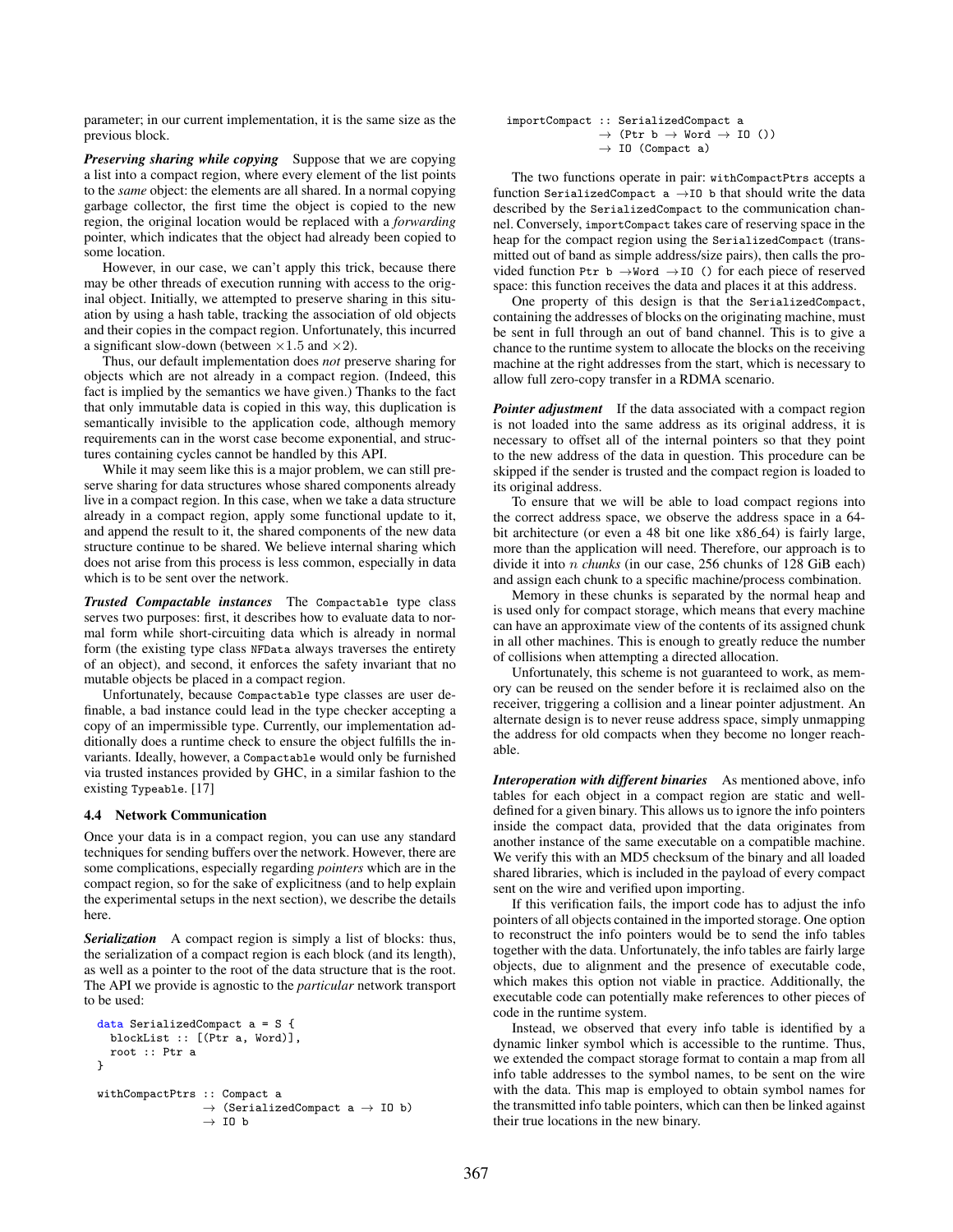parameter; in our current implementation, it is the same size as the previous block.

*Preserving sharing while copying* Suppose that we are copying a list into a compact region, where every element of the list points to the *same* object: the elements are all shared. In a normal copying garbage collector, the first time the object is copied to the new region, the original location would be replaced with a *forwarding* pointer, which indicates that the object had already been copied to some location.

However, in our case, we can't apply this trick, because there may be other threads of execution running with access to the original object. Initially, we attempted to preserve sharing in this situation by using a hash table, tracking the association of old objects and their copies in the compact region. Unfortunately, this incurred a significant slow-down (between  $\times 1.5$  and  $\times 2$ ).

Thus, our default implementation does *not* preserve sharing for objects which are not already in a compact region. (Indeed, this fact is implied by the semantics we have given.) Thanks to the fact that only immutable data is copied in this way, this duplication is semantically invisible to the application code, although memory requirements can in the worst case become exponential, and structures containing cycles cannot be handled by this API.

While it may seem like this is a major problem, we can still preserve sharing for data structures whose shared components already live in a compact region. In this case, when we take a data structure already in a compact region, apply some functional update to it, and append the result to it, the shared components of the new data structure continue to be shared. We believe internal sharing which does not arise from this process is less common, especially in data which is to be sent over the network.

*Trusted Compactable instances* The Compactable type class serves two purposes: first, it describes how to evaluate data to normal form while short-circuiting data which is already in normal form (the existing type class NFData always traverses the entirety of an object), and second, it enforces the safety invariant that no mutable objects be placed in a compact region.

Unfortunately, because Compactable type classes are user definable, a bad instance could lead in the type checker accepting a copy of an impermissible type. Currently, our implementation additionally does a runtime check to ensure the object fulfills the invariants. Ideally, however, a Compactable would only be furnished via trusted instances provided by GHC, in a similar fashion to the existing Typeable. [17]

#### 4.4 Network Communication

Once your data is in a compact region, you can use any standard techniques for sending buffers over the network. However, there are some complications, especially regarding *pointers* which are in the compact region, so for the sake of explicitness (and to help explain the experimental setups in the next section), we describe the details here.

*Serialization* A compact region is simply a list of blocks: thus, the serialization of a compact region is each block (and its length), as well as a pointer to the root of the data structure that is the root. The API we provide is agnostic to the *particular* network transport to be used:

```
data SerializedCompact a = S {
  blockList :: [(Ptr a, Word)],
  root :: Ptr a
}
withCompactPtrs :: Compact a
                   \rightarrow (SerializedCompact a \rightarrow IO b)
                   \rightarrow IO b
```
importCompact :: SerializedCompact a  $\rightarrow$  (Ptr b  $\rightarrow$  Word  $\rightarrow$  IO ())  $\rightarrow$  I0 (Compact a)

The two functions operate in pair: withCompactPtrs accepts a function SerializedCompact a  $\rightarrow$ IO b that should write the data described by the SerializedCompact to the communication channel. Conversely, importCompact takes care of reserving space in the heap for the compact region using the SerializedCompact (transmitted out of band as simple address/size pairs), then calls the provided function Ptr b  $\rightarrow$ Word  $\rightarrow$ IO () for each piece of reserved space: this function receives the data and places it at this address.

One property of this design is that the SerializedCompact, containing the addresses of blocks on the originating machine, must be sent in full through an out of band channel. This is to give a chance to the runtime system to allocate the blocks on the receiving machine at the right addresses from the start, which is necessary to allow full zero-copy transfer in a RDMA scenario.

*Pointer adjustment* If the data associated with a compact region is not loaded into the same address as its original address, it is necessary to offset all of the internal pointers so that they point to the new address of the data in question. This procedure can be skipped if the sender is trusted and the compact region is loaded to its original address.

To ensure that we will be able to load compact regions into the correct address space, we observe the address space in a 64 bit architecture (or even a 48 bit one like x86 64) is fairly large, more than the application will need. Therefore, our approach is to divide it into n *chunks* (in our case, 256 chunks of 128 GiB each) and assign each chunk to a specific machine/process combination.

Memory in these chunks is separated by the normal heap and is used only for compact storage, which means that every machine can have an approximate view of the contents of its assigned chunk in all other machines. This is enough to greatly reduce the number of collisions when attempting a directed allocation.

Unfortunately, this scheme is not guaranteed to work, as memory can be reused on the sender before it is reclaimed also on the receiver, triggering a collision and a linear pointer adjustment. An alternate design is to never reuse address space, simply unmapping the address for old compacts when they become no longer reachable.

*Interoperation with different binaries* As mentioned above, info tables for each object in a compact region are static and welldefined for a given binary. This allows us to ignore the info pointers inside the compact data, provided that the data originates from another instance of the same executable on a compatible machine. We verify this with an MD5 checksum of the binary and all loaded shared libraries, which is included in the payload of every compact sent on the wire and verified upon importing.

If this verification fails, the import code has to adjust the info pointers of all objects contained in the imported storage. One option to reconstruct the info pointers would be to send the info tables together with the data. Unfortunately, the info tables are fairly large objects, due to alignment and the presence of executable code, which makes this option not viable in practice. Additionally, the executable code can potentially make references to other pieces of code in the runtime system.

Instead, we observed that every info table is identified by a dynamic linker symbol which is accessible to the runtime. Thus, we extended the compact storage format to contain a map from all info table addresses to the symbol names, to be sent on the wire with the data. This map is employed to obtain symbol names for the transmitted info table pointers, which can then be linked against their true locations in the new binary.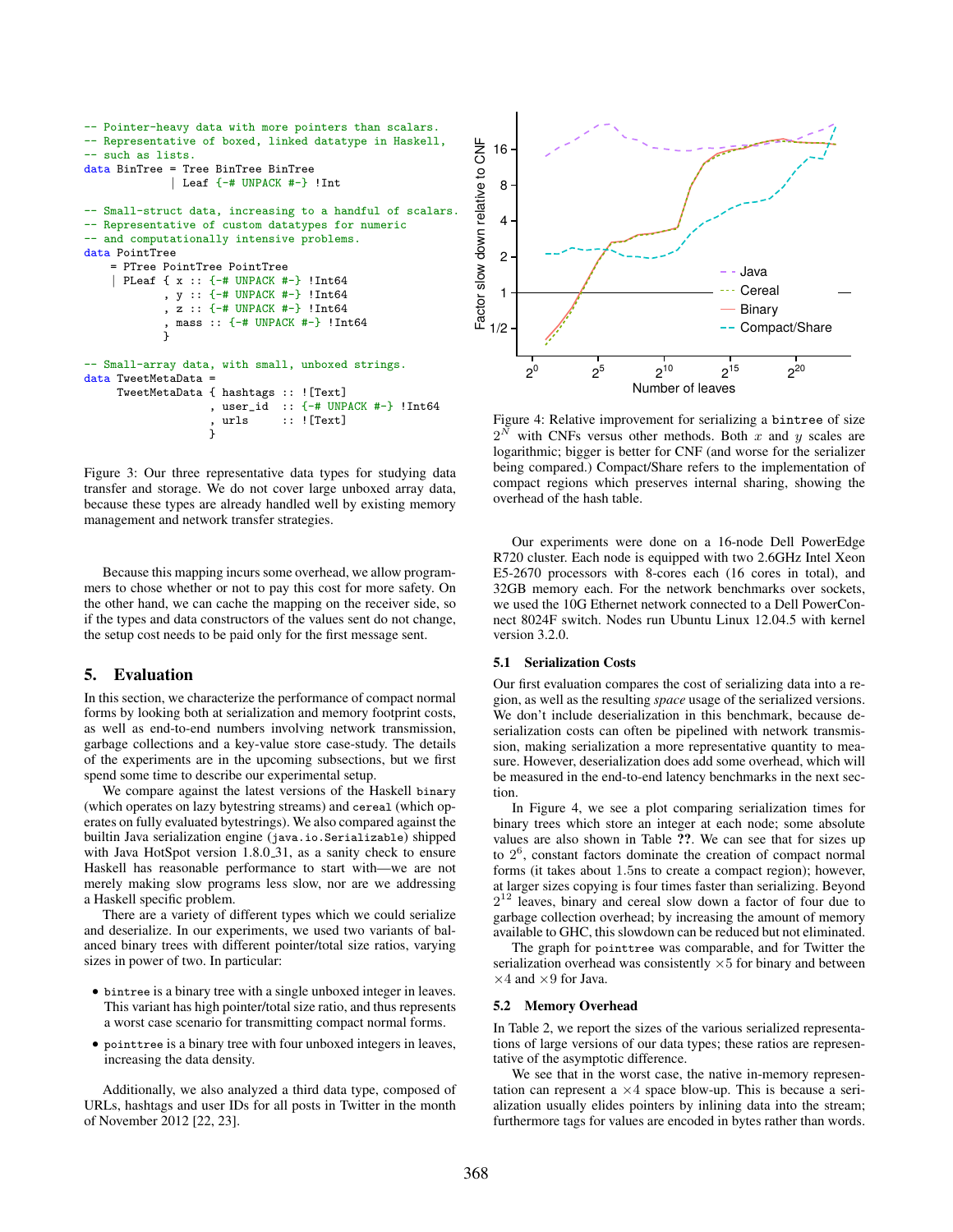```
-- Pointer-heavy data with more pointers than scalars.
-- Representative of boxed, linked datatype in Haskell,
  such as lists.
data BinTree = Tree BinTree BinTree
             | Leaf {-# UNPACK #-} !Int
-- Small-struct data, increasing to a handful of scalars.
-- Representative of custom datatypes for numeric
  and computationally intensive problems.
data PointTree
    = PTree PointTree PointTree
    | PLeaf { x :: {-# UNPACK #-} !Int64
            , y :: {-# UNPACK #-} !Int64
             , z :: {-# UNPACK #-} !Int64
              , mass :: {-# UNPACK #-} !Int64
             }
-- Small-array data, with small, unboxed strings.
data TweetMetaData =
     TweetMetaData { hashtags :: ![Text]
                    , user_id :: \{-\# UNPACK \#-\} !Int64<br>. urls :: ![Text]
                                : ! [Text]
                    ,<br>}
```
Figure 3: Our three representative data types for studying data transfer and storage. We do not cover large unboxed array data, because these types are already handled well by existing memory management and network transfer strategies.

Because this mapping incurs some overhead, we allow programmers to chose whether or not to pay this cost for more safety. On the other hand, we can cache the mapping on the receiver side, so if the types and data constructors of the values sent do not change, the setup cost needs to be paid only for the first message sent.

# 5. Evaluation

In this section, we characterize the performance of compact normal forms by looking both at serialization and memory footprint costs, as well as end-to-end numbers involving network transmission, garbage collections and a key-value store case-study. The details of the experiments are in the upcoming subsections, but we first spend some time to describe our experimental setup.

We compare against the latest versions of the Haskell binary (which operates on lazy bytestring streams) and cereal (which operates on fully evaluated bytestrings). We also compared against the builtin Java serialization engine (java.io.Serializable) shipped with Java HotSpot version 1.8.0<sub>-31</sub>, as a sanity check to ensure Haskell has reasonable performance to start with—we are not merely making slow programs less slow, nor are we addressing a Haskell specific problem.

There are a variety of different types which we could serialize and deserialize. In our experiments, we used two variants of balanced binary trees with different pointer/total size ratios, varying sizes in power of two. In particular:

- bintree is a binary tree with a single unboxed integer in leaves. This variant has high pointer/total size ratio, and thus represents a worst case scenario for transmitting compact normal forms.
- pointtree is a binary tree with four unboxed integers in leaves, increasing the data density.

Additionally, we also analyzed a third data type, composed of URLs, hashtags and user IDs for all posts in Twitter in the month of November 2012 [22, 23].



Figure 4: Relative improvement for serializing a bintree of size  $2^N$  with CNFs versus other methods. Both x and y scales are logarithmic; bigger is better for CNF (and worse for the serializer being compared.) Compact/Share refers to the implementation of compact regions which preserves internal sharing, showing the overhead of the hash table.

Our experiments were done on a 16-node Dell PowerEdge R720 cluster. Each node is equipped with two 2.6GHz Intel Xeon E5-2670 processors with 8-cores each (16 cores in total), and 32GB memory each. For the network benchmarks over sockets, we used the 10G Ethernet network connected to a Dell PowerConnect 8024F switch. Nodes run Ubuntu Linux 12.04.5 with kernel version 3.2.0.

#### 5.1 Serialization Costs

Our first evaluation compares the cost of serializing data into a region, as well as the resulting *space* usage of the serialized versions. We don't include deserialization in this benchmark, because deserialization costs can often be pipelined with network transmission, making serialization a more representative quantity to measure. However, deserialization does add some overhead, which will be measured in the end-to-end latency benchmarks in the next section.

In Figure 4, we see a plot comparing serialization times for binary trees which store an integer at each node; some absolute values are also shown in Table ??. We can see that for sizes up to  $2<sup>6</sup>$ , constant factors dominate the creation of compact normal forms (it takes about 1.5ns to create a compact region); however, at larger sizes copying is four times faster than serializing. Beyond  $2^{12}$  leaves, binary and cereal slow down a factor of four due to garbage collection overhead; by increasing the amount of memory available to GHC, this slowdown can be reduced but not eliminated.

The graph for pointtree was comparable, and for Twitter the serialization overhead was consistently  $\times 5$  for binary and between  $\times$ 4 and  $\times$ 9 for Java.

#### 5.2 Memory Overhead

In Table 2, we report the sizes of the various serialized representations of large versions of our data types; these ratios are representative of the asymptotic difference.

We see that in the worst case, the native in-memory representation can represent a  $\times$ 4 space blow-up. This is because a serialization usually elides pointers by inlining data into the stream; furthermore tags for values are encoded in bytes rather than words.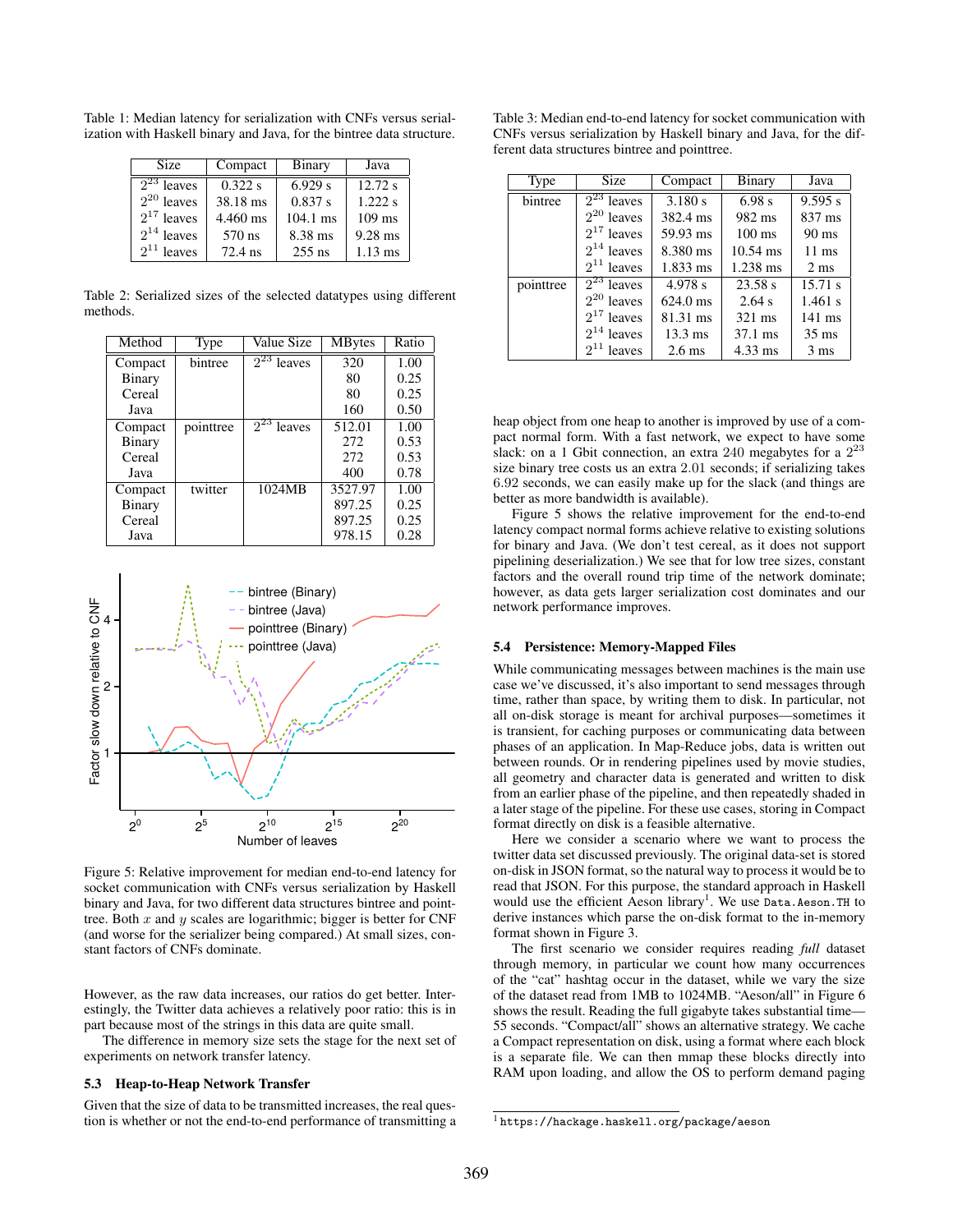Table 1: Median latency for serialization with CNFs versus serialization with Haskell binary and Java, for the bintree data structure.

| Size                       | Compact  | Binary     | Java      |
|----------------------------|----------|------------|-----------|
| $\overline{2^{23}}$ leaves | 0.322 s  | 6.929 s    | 12.72 s   |
| $2^{20}$ leaves            | 38.18 ms | 0.837 s    | 1.222 s   |
| $2^{17}$ leaves            | 4.460 ms | $104.1$ ms | $109$ ms  |
| $2^{14}$ leaves            | 570 ns   | 8.38 ms    | $9.28$ ms |
| $2^{11}$ leaves            | 72.4 ns  | $255$ ns   | $1.13$ ms |

Table 2: Serialized sizes of the selected datatypes using different methods.

| Method        | Type      | Value Size                 | <b>MB</b> ytes | Ratio |
|---------------|-----------|----------------------------|----------------|-------|
| Compact       | bintree   | $\overline{2}^{23}$ leaves | 320            | 1.00  |
| Binary        |           |                            | 80             | 0.25  |
| Cereal        |           |                            | 80             | 0.25  |
| Java          |           |                            | 160            | 0.50  |
| Compact       | pointtree | $2^{23}$ leaves            | 512.01         | 1.00  |
| <b>Binary</b> |           |                            | 272            | 0.53  |
| Cereal        |           |                            | 272            | 0.53  |
| Java          |           |                            | 400            | 0.78  |
| Compact       | twitter   | 1024MB                     | 3527.97        | 1.00  |
| Binary        |           |                            | 897.25         | 0.25  |
| Cereal        |           |                            | 897.25         | 0.25  |
| Java          |           |                            | 978.15         | 0.28  |



Figure 5: Relative improvement for median end-to-end latency for socket communication with CNFs versus serialization by Haskell binary and Java, for two different data structures bintree and pointtree. Both  $x$  and  $y$  scales are logarithmic; bigger is better for CNF (and worse for the serializer being compared.) At small sizes, constant factors of CNFs dominate.

However, as the raw data increases, our ratios do get better. Interestingly, the Twitter data achieves a relatively poor ratio: this is in part because most of the strings in this data are quite small.

The difference in memory size sets the stage for the next set of experiments on network transfer latency.

#### 5.3 Heap-to-Heap Network Transfer

Given that the size of data to be transmitted increases, the real question is whether or not the end-to-end performance of transmitting a

Table 3: Median end-to-end latency for socket communication with CNFs versus serialization by Haskell binary and Java, for the different data structures bintree and pointtree.

| Type      | <b>Size</b>     | Compact            | Binary             | Java             |
|-----------|-----------------|--------------------|--------------------|------------------|
| bintree   | $2^{23}$ leaves | 3.180 s            | 6.98 s             | 9.595 s          |
|           | $2^{20}$ leaves | 382.4 ms           | 982 ms             | 837 ms           |
|           | $2^{17}$ leaves | 59.93 ms           | $100 \text{ ms}$   | $90 \text{ ms}$  |
|           | $2^{14}$ leaves | 8.380 ms           | $10.54 \text{ ms}$ | $11 \text{ ms}$  |
|           | $2^{11}$ leaves | $1.833$ ms         | 1.238 ms           | $2 \text{ ms}$   |
| pointtree | $2^{23}$ leaves | 4.978 s            | 23.58 s            | 15.71 s          |
|           | $2^{20}$ leaves | $624.0 \text{ ms}$ | 2.64 s             | $1.461$ s        |
|           | $2^{17}$ leaves | 81.31 ms           | 321 ms             | $141 \text{ ms}$ |
|           | $2^{14}$ leaves | $13.3 \text{ ms}$  | $37.1 \text{ ms}$  | $35 \text{ ms}$  |
|           | $2^{11}$ leaves | $2.6 \text{ ms}$   | $4.33$ ms          | $3 \text{ ms}$   |

heap object from one heap to another is improved by use of a compact normal form. With a fast network, we expect to have some slack: on a 1 Gbit connection, an extra 240 megabytes for a  $2<sup>2</sup>$ size binary tree costs us an extra 2.01 seconds; if serializing takes 6.92 seconds, we can easily make up for the slack (and things are better as more bandwidth is available).

Figure 5 shows the relative improvement for the end-to-end latency compact normal forms achieve relative to existing solutions for binary and Java. (We don't test cereal, as it does not support pipelining deserialization.) We see that for low tree sizes, constant factors and the overall round trip time of the network dominate; however, as data gets larger serialization cost dominates and our network performance improves.

## 5.4 Persistence: Memory-Mapped Files

While communicating messages between machines is the main use case we've discussed, it's also important to send messages through time, rather than space, by writing them to disk. In particular, not all on-disk storage is meant for archival purposes—sometimes it is transient, for caching purposes or communicating data between phases of an application. In Map-Reduce jobs, data is written out between rounds. Or in rendering pipelines used by movie studies, all geometry and character data is generated and written to disk from an earlier phase of the pipeline, and then repeatedly shaded in a later stage of the pipeline. For these use cases, storing in Compact format directly on disk is a feasible alternative.

Here we consider a scenario where we want to process the twitter data set discussed previously. The original data-set is stored on-disk in JSON format, so the natural way to process it would be to read that JSON. For this purpose, the standard approach in Haskell would use the efficient Aeson library<sup>1</sup>. We use Data.Aeson.TH to derive instances which parse the on-disk format to the in-memory format shown in Figure 3.

The first scenario we consider requires reading *full* dataset through memory, in particular we count how many occurrences of the "cat" hashtag occur in the dataset, while we vary the size of the dataset read from 1MB to 1024MB. "Aeson/all" in Figure 6 shows the result. Reading the full gigabyte takes substantial time— 55 seconds. "Compact/all" shows an alternative strategy. We cache a Compact representation on disk, using a format where each block is a separate file. We can then mmap these blocks directly into RAM upon loading, and allow the OS to perform demand paging

<sup>1</sup> https://hackage.haskell.org/package/aeson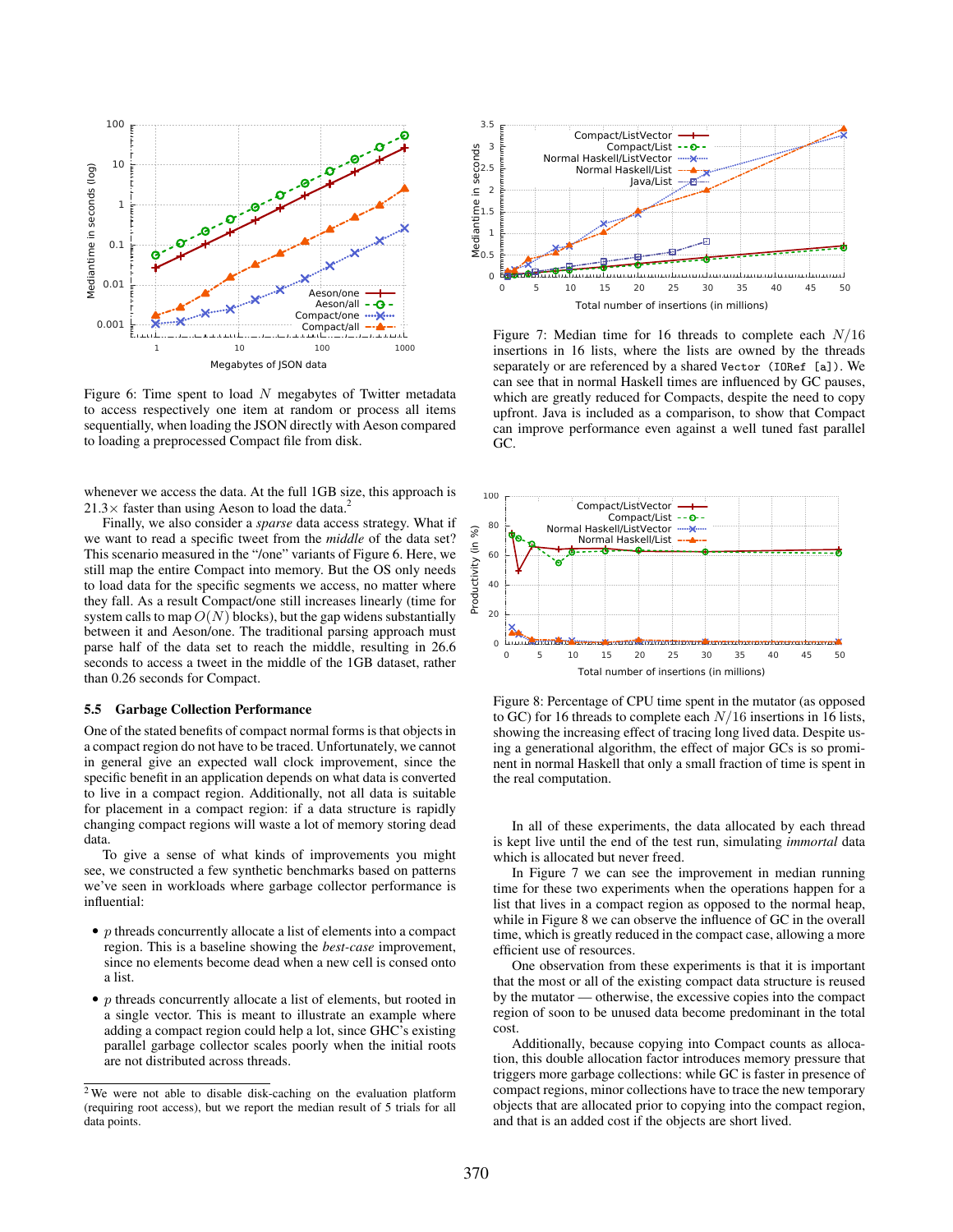

Figure 6: Time spent to load  $N$  megabytes of Twitter metadata to access respectively one item at random or process all items sequentially, when loading the JSON directly with Aeson compared to loading a preprocessed Compact file from disk.

whenever we access the data. At the full 1GB size, this approach is  $21.3\times$  faster than using Aeson to load the data.<sup>2</sup>

Finally, we also consider a *sparse* data access strategy. What if we want to read a specific tweet from the *middle* of the data set? This scenario measured in the "/one" variants of Figure 6. Here, we still map the entire Compact into memory. But the OS only needs to load data for the specific segments we access, no matter where they fall. As a result Compact/one still increases linearly (time for system calls to map  $O(N)$  blocks), but the gap widens substantially between it and Aeson/one. The traditional parsing approach must parse half of the data set to reach the middle, resulting in 26.6 seconds to access a tweet in the middle of the 1GB dataset, rather than 0.26 seconds for Compact.

#### 5.5 Garbage Collection Performance

One of the stated benefits of compact normal forms is that objects in a compact region do not have to be traced. Unfortunately, we cannot in general give an expected wall clock improvement, since the specific benefit in an application depends on what data is converted to live in a compact region. Additionally, not all data is suitable for placement in a compact region: if a data structure is rapidly changing compact regions will waste a lot of memory storing dead data.

To give a sense of what kinds of improvements you might see, we constructed a few synthetic benchmarks based on patterns we've seen in workloads where garbage collector performance is influential:

- $\bullet$  p threads concurrently allocate a list of elements into a compact region. This is a baseline showing the *best-case* improvement, since no elements become dead when a new cell is consed onto a list.
- $\bullet$  p threads concurrently allocate a list of elements, but rooted in a single vector. This is meant to illustrate an example where adding a compact region could help a lot, since GHC's existing parallel garbage collector scales poorly when the initial roots are not distributed across threads.



Figure 7: Median time for 16 threads to complete each  $N/16$ insertions in 16 lists, where the lists are owned by the threads separately or are referenced by a shared Vector (IORef [a]). We can see that in normal Haskell times are influenced by GC pauses, which are greatly reduced for Compacts, despite the need to copy upfront. Java is included as a comparison, to show that Compact can improve performance even against a well tuned fast parallel GC.



Figure 8: Percentage of CPU time spent in the mutator (as opposed to GC) for 16 threads to complete each  $N/16$  insertions in 16 lists, showing the increasing effect of tracing long lived data. Despite using a generational algorithm, the effect of major GCs is so prominent in normal Haskell that only a small fraction of time is spent in the real computation.

In all of these experiments, the data allocated by each thread is kept live until the end of the test run, simulating *immortal* data which is allocated but never freed.

In Figure 7 we can see the improvement in median running time for these two experiments when the operations happen for a list that lives in a compact region as opposed to the normal heap, while in Figure 8 we can observe the influence of GC in the overall time, which is greatly reduced in the compact case, allowing a more efficient use of resources.

One observation from these experiments is that it is important that the most or all of the existing compact data structure is reused by the mutator — otherwise, the excessive copies into the compact region of soon to be unused data become predominant in the total cost.

Additionally, because copying into Compact counts as allocation, this double allocation factor introduces memory pressure that triggers more garbage collections: while GC is faster in presence of compact regions, minor collections have to trace the new temporary objects that are allocated prior to copying into the compact region, and that is an added cost if the objects are short lived.

<sup>&</sup>lt;sup>2</sup>We were not able to disable disk-caching on the evaluation platform (requiring root access), but we report the median result of 5 trials for all data points.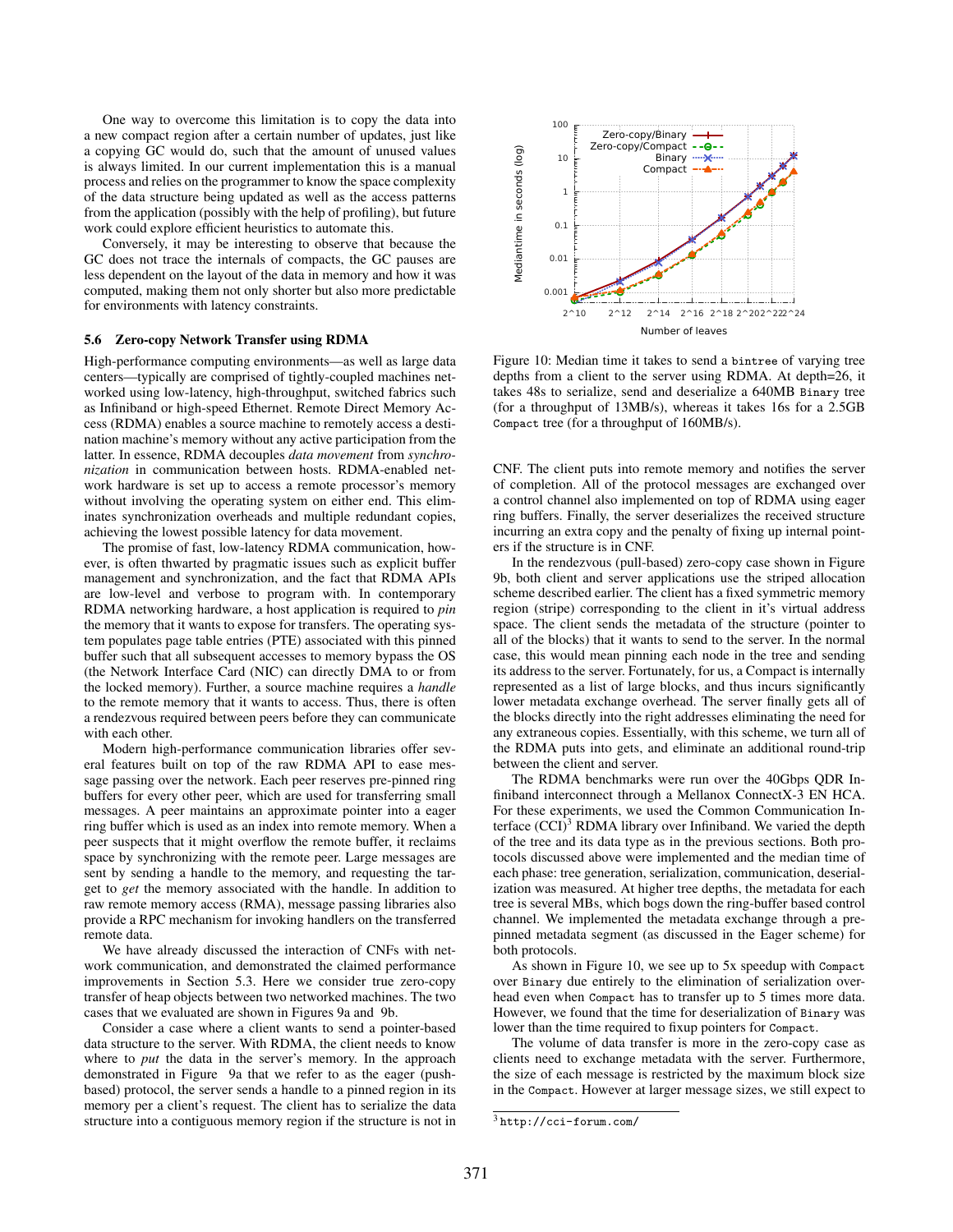One way to overcome this limitation is to copy the data into a new compact region after a certain number of updates, just like a copying GC would do, such that the amount of unused values is always limited. In our current implementation this is a manual process and relies on the programmer to know the space complexity of the data structure being updated as well as the access patterns from the application (possibly with the help of profiling), but future work could explore efficient heuristics to automate this.

Conversely, it may be interesting to observe that because the GC does not trace the internals of compacts, the GC pauses are less dependent on the layout of the data in memory and how it was computed, making them not only shorter but also more predictable for environments with latency constraints.

#### 5.6 Zero-copy Network Transfer using RDMA

High-performance computing environments—as well as large data centers—typically are comprised of tightly-coupled machines networked using low-latency, high-throughput, switched fabrics such as Infiniband or high-speed Ethernet. Remote Direct Memory Access (RDMA) enables a source machine to remotely access a destination machine's memory without any active participation from the latter. In essence, RDMA decouples *data movement* from *synchronization* in communication between hosts. RDMA-enabled network hardware is set up to access a remote processor's memory without involving the operating system on either end. This eliminates synchronization overheads and multiple redundant copies, achieving the lowest possible latency for data movement.

The promise of fast, low-latency RDMA communication, however, is often thwarted by pragmatic issues such as explicit buffer management and synchronization, and the fact that RDMA APIs are low-level and verbose to program with. In contemporary RDMA networking hardware, a host application is required to *pin* the memory that it wants to expose for transfers. The operating system populates page table entries (PTE) associated with this pinned buffer such that all subsequent accesses to memory bypass the OS (the Network Interface Card (NIC) can directly DMA to or from the locked memory). Further, a source machine requires a *handle* to the remote memory that it wants to access. Thus, there is often a rendezvous required between peers before they can communicate with each other.

Modern high-performance communication libraries offer several features built on top of the raw RDMA API to ease message passing over the network. Each peer reserves pre-pinned ring buffers for every other peer, which are used for transferring small messages. A peer maintains an approximate pointer into a eager ring buffer which is used as an index into remote memory. When a peer suspects that it might overflow the remote buffer, it reclaims space by synchronizing with the remote peer. Large messages are sent by sending a handle to the memory, and requesting the target to *get* the memory associated with the handle. In addition to raw remote memory access (RMA), message passing libraries also provide a RPC mechanism for invoking handlers on the transferred remote data.

We have already discussed the interaction of CNFs with network communication, and demonstrated the claimed performance improvements in Section 5.3. Here we consider true zero-copy transfer of heap objects between two networked machines. The two cases that we evaluated are shown in Figures 9a and 9b.

Consider a case where a client wants to send a pointer-based data structure to the server. With RDMA, the client needs to know where to *put* the data in the server's memory. In the approach demonstrated in Figure 9a that we refer to as the eager (pushbased) protocol, the server sends a handle to a pinned region in its memory per a client's request. The client has to serialize the data structure into a contiguous memory region if the structure is not in



Figure 10: Median time it takes to send a bintree of varying tree depths from a client to the server using RDMA. At depth=26, it takes 48s to serialize, send and deserialize a 640MB Binary tree (for a throughput of 13MB/s), whereas it takes 16s for a 2.5GB Compact tree (for a throughput of 160MB/s).

CNF. The client puts into remote memory and notifies the server of completion. All of the protocol messages are exchanged over a control channel also implemented on top of RDMA using eager ring buffers. Finally, the server deserializes the received structure incurring an extra copy and the penalty of fixing up internal pointers if the structure is in CNF.

In the rendezvous (pull-based) zero-copy case shown in Figure 9b, both client and server applications use the striped allocation scheme described earlier. The client has a fixed symmetric memory region (stripe) corresponding to the client in it's virtual address space. The client sends the metadata of the structure (pointer to all of the blocks) that it wants to send to the server. In the normal case, this would mean pinning each node in the tree and sending its address to the server. Fortunately, for us, a Compact is internally represented as a list of large blocks, and thus incurs significantly lower metadata exchange overhead. The server finally gets all of the blocks directly into the right addresses eliminating the need for any extraneous copies. Essentially, with this scheme, we turn all of the RDMA puts into gets, and eliminate an additional round-trip between the client and server.

The RDMA benchmarks were run over the 40Gbps QDR Infiniband interconnect through a Mellanox ConnectX-3 EN HCA. For these experiments, we used the Common Communication Interface  $(CCI)^3$  RDMA library over Infiniband. We varied the depth of the tree and its data type as in the previous sections. Both protocols discussed above were implemented and the median time of each phase: tree generation, serialization, communication, deserialization was measured. At higher tree depths, the metadata for each tree is several MBs, which bogs down the ring-buffer based control channel. We implemented the metadata exchange through a prepinned metadata segment (as discussed in the Eager scheme) for both protocols.

As shown in Figure 10, we see up to 5x speedup with Compact over Binary due entirely to the elimination of serialization overhead even when Compact has to transfer up to 5 times more data. However, we found that the time for deserialization of Binary was lower than the time required to fixup pointers for Compact.

The volume of data transfer is more in the zero-copy case as clients need to exchange metadata with the server. Furthermore, the size of each message is restricted by the maximum block size in the Compact. However at larger message sizes, we still expect to

<sup>3</sup> http://cci-forum.com/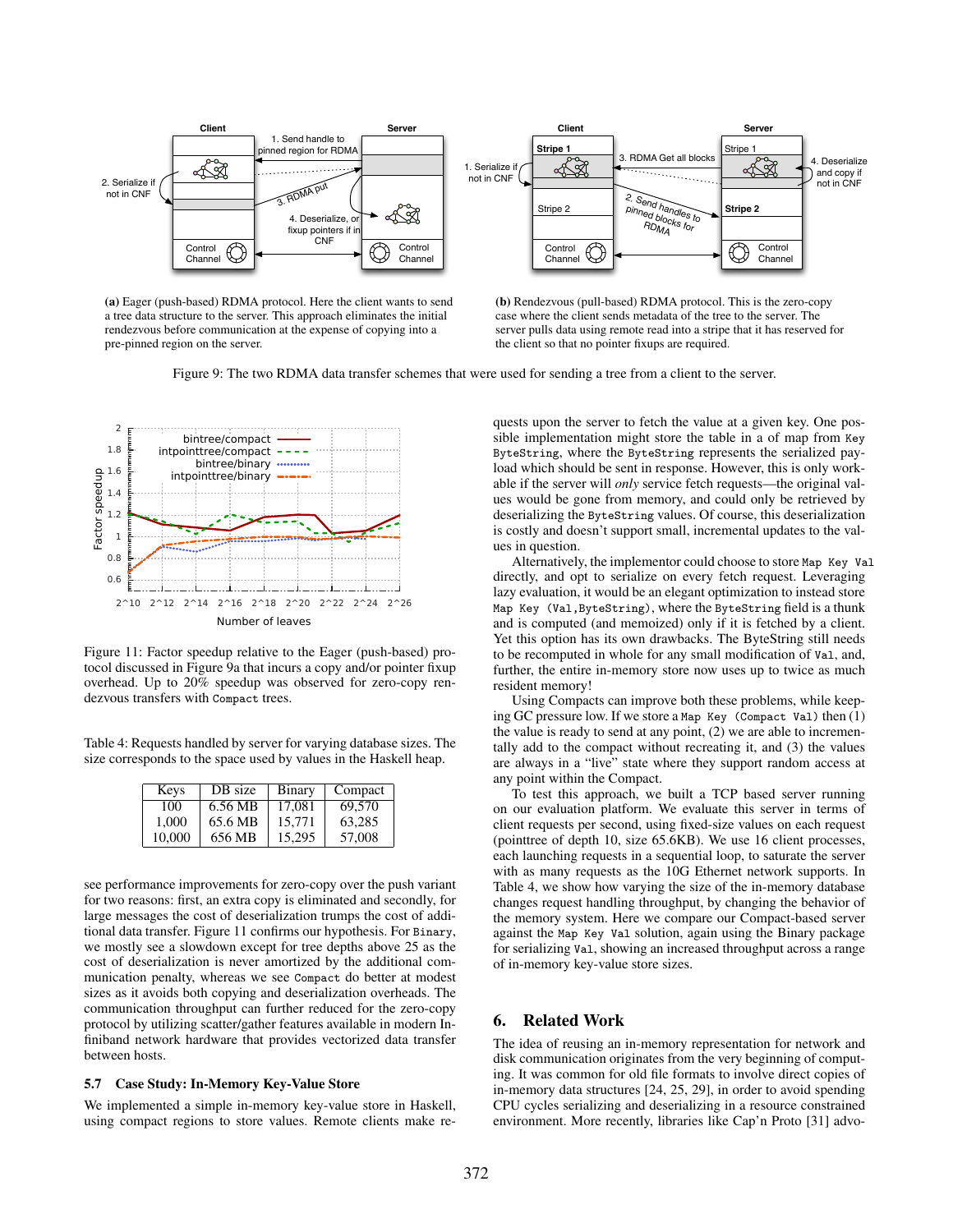

(a) Eager (push-based) RDMA protocol. Here the client wants to send a tree data structure to the server. This approach eliminates the initial rendezvous before communication at the expense of copying into a pre-pinned region on the server.



Figure 9: The two RDMA data transfer schemes that were used for sending a tree from a client to the server.



Figure 11: Factor speedup relative to the Eager (push-based) protocol discussed in Figure 9a that incurs a copy and/or pointer fixup overhead. Up to 20% speedup was observed for zero-copy rendezvous transfers with Compact trees.

Table 4: Requests handled by server for varying database sizes. The size corresponds to the space used by values in the Haskell heap.

| Keys   | DB size | Binary | Compact |
|--------|---------|--------|---------|
| 100    | 6.56 MB | 17.081 | 69,570  |
| 1.000  | 65.6 MB | 15.771 | 63,285  |
| 10.000 | 656 MB  | 15.295 | 57,008  |

see performance improvements for zero-copy over the push variant for two reasons: first, an extra copy is eliminated and secondly, for large messages the cost of deserialization trumps the cost of additional data transfer. Figure 11 confirms our hypothesis. For Binary, we mostly see a slowdown except for tree depths above 25 as the cost of deserialization is never amortized by the additional communication penalty, whereas we see Compact do better at modest sizes as it avoids both copying and deserialization overheads. The communication throughput can further reduced for the zero-copy protocol by utilizing scatter/gather features available in modern Infiniband network hardware that provides vectorized data transfer between hosts.

#### $5.7$ **Case Study: In-Memory Key-Value Store**

We implemented a simple in-memory key-value store in Haskell, using compact regions to store values. Remote clients make re-

quests upon the server to fetch the value at a given key. One possible implementation might store the table in a of map from Key ByteString, where the ByteString represents the serialized payload which should be sent in response. However, this is only workable if the server will *only* service fetch requests—the original values would be gone from memory, and could only be retrieved by deserializing the ByteString values. Of course, this deserialization is costly and doesn't support small, incremental updates to the values in question.

Alternatively, the implementor could choose to store Map Key Val directly, and opt to serialize on every fetch request. Leveraging lazy evaluation, it would be an elegant optimization to instead store Map Key (Val, ByteString), where the ByteString field is a thunk and is computed (and memoized) only if it is fetched by a client. Yet this option has its own drawbacks. The ByteString still needs to be recomputed in whole for any small modification of Val, and, further, the entire in-memory store now uses up to twice as much resident memory!

Using Compacts can improve both these problems, while keeping GC pressure low. If we store a Map Key (Compact Val) then  $(1)$ the value is ready to send at any point,  $(2)$  we are able to incrementally add to the compact without recreating it, and (3) the values are always in a "live" state where they support random access at any point within the Compact.

To test this approach, we built a TCP based server running on our evaluation platform. We evaluate this server in terms of client requests per second, using fixed-size values on each request (point tree of depth 10, size 65.6KB). We use 16 client processes, each launching requests in a sequential loop, to saturate the server with as many requests as the 10G Ethernet network supports. In Table 4, we show how varying the size of the in-memory database changes request handling throughput, by changing the behavior of the memory system. Here we compare our Compact-based server against the Map Key Val solution, again using the Binary package for serializing Va1, showing an increased throughput across a range of in-memory key-value store sizes.

#### **Related Work** 6.

The idea of reusing an in-memory representation for network and disk communication originates from the very beginning of computing. It was common for old file formats to involve direct copies of in-memory data structures [24, 25, 29], in order to avoid spending CPU cycles serializing and deserializing in a resource constrained environment. More recently, libraries like Cap'n Proto [31] advo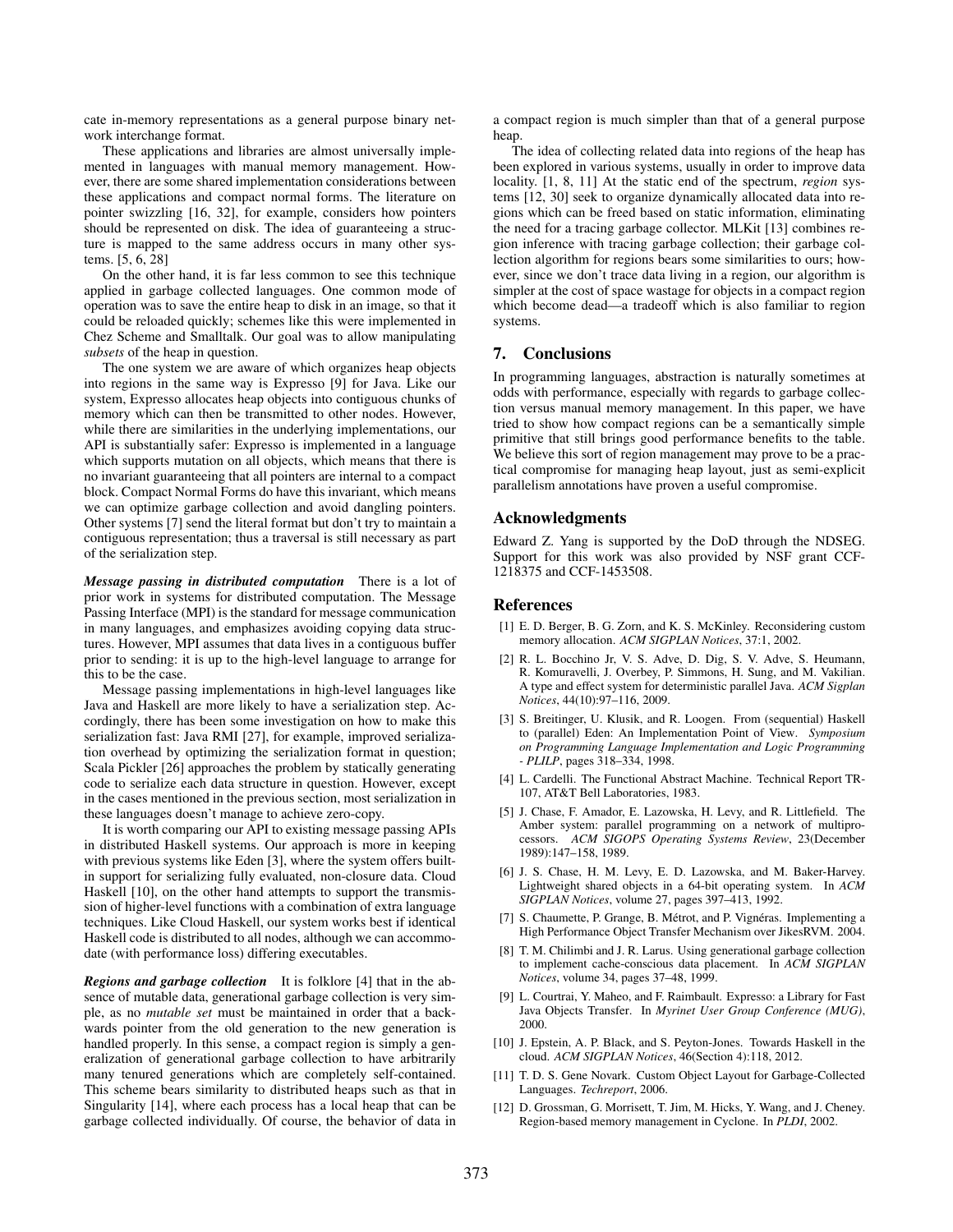cate in-memory representations as a general purpose binary network interchange format.

These applications and libraries are almost universally implemented in languages with manual memory management. However, there are some shared implementation considerations between these applications and compact normal forms. The literature on pointer swizzling [16, 32], for example, considers how pointers should be represented on disk. The idea of guaranteeing a structure is mapped to the same address occurs in many other systems. [5, 6, 28]

On the other hand, it is far less common to see this technique applied in garbage collected languages. One common mode of operation was to save the entire heap to disk in an image, so that it could be reloaded quickly; schemes like this were implemented in Chez Scheme and Smalltalk. Our goal was to allow manipulating *subsets* of the heap in question.

The one system we are aware of which organizes heap objects into regions in the same way is Expresso [9] for Java. Like our system, Expresso allocates heap objects into contiguous chunks of memory which can then be transmitted to other nodes. However, while there are similarities in the underlying implementations, our API is substantially safer: Expresso is implemented in a language which supports mutation on all objects, which means that there is no invariant guaranteeing that all pointers are internal to a compact block. Compact Normal Forms do have this invariant, which means we can optimize garbage collection and avoid dangling pointers. Other systems [7] send the literal format but don't try to maintain a contiguous representation; thus a traversal is still necessary as part of the serialization step.

*Message passing in distributed computation* There is a lot of prior work in systems for distributed computation. The Message Passing Interface (MPI) is the standard for message communication in many languages, and emphasizes avoiding copying data structures. However, MPI assumes that data lives in a contiguous buffer prior to sending: it is up to the high-level language to arrange for this to be the case.

Message passing implementations in high-level languages like Java and Haskell are more likely to have a serialization step. Accordingly, there has been some investigation on how to make this serialization fast: Java RMI [27], for example, improved serialization overhead by optimizing the serialization format in question; Scala Pickler [26] approaches the problem by statically generating code to serialize each data structure in question. However, except in the cases mentioned in the previous section, most serialization in these languages doesn't manage to achieve zero-copy.

It is worth comparing our API to existing message passing APIs in distributed Haskell systems. Our approach is more in keeping with previous systems like Eden [3], where the system offers builtin support for serializing fully evaluated, non-closure data. Cloud Haskell [10], on the other hand attempts to support the transmission of higher-level functions with a combination of extra language techniques. Like Cloud Haskell, our system works best if identical Haskell code is distributed to all nodes, although we can accommodate (with performance loss) differing executables.

*Regions and garbage collection* It is folklore [4] that in the absence of mutable data, generational garbage collection is very simple, as no *mutable set* must be maintained in order that a backwards pointer from the old generation to the new generation is handled properly. In this sense, a compact region is simply a generalization of generational garbage collection to have arbitrarily many tenured generations which are completely self-contained. This scheme bears similarity to distributed heaps such as that in Singularity [14], where each process has a local heap that can be garbage collected individually. Of course, the behavior of data in a compact region is much simpler than that of a general purpose heap.

The idea of collecting related data into regions of the heap has been explored in various systems, usually in order to improve data locality. [1, 8, 11] At the static end of the spectrum, *region* systems [12, 30] seek to organize dynamically allocated data into regions which can be freed based on static information, eliminating the need for a tracing garbage collector. MLKit [13] combines region inference with tracing garbage collection; their garbage collection algorithm for regions bears some similarities to ours; however, since we don't trace data living in a region, our algorithm is simpler at the cost of space wastage for objects in a compact region which become dead—a tradeoff which is also familiar to region systems.

#### 7. Conclusions

In programming languages, abstraction is naturally sometimes at odds with performance, especially with regards to garbage collection versus manual memory management. In this paper, we have tried to show how compact regions can be a semantically simple primitive that still brings good performance benefits to the table. We believe this sort of region management may prove to be a practical compromise for managing heap layout, just as semi-explicit parallelism annotations have proven a useful compromise.

#### Acknowledgments

Edward Z. Yang is supported by the DoD through the NDSEG. Support for this work was also provided by NSF grant CCF-1218375 and CCF-1453508.

# **References**

- [1] E. D. Berger, B. G. Zorn, and K. S. McKinley. Reconsidering custom memory allocation. *ACM SIGPLAN Notices*, 37:1, 2002.
- [2] R. L. Bocchino Jr, V. S. Adve, D. Dig, S. V. Adve, S. Heumann, R. Komuravelli, J. Overbey, P. Simmons, H. Sung, and M. Vakilian. A type and effect system for deterministic parallel Java. *ACM Sigplan Notices*, 44(10):97–116, 2009.
- [3] S. Breitinger, U. Klusik, and R. Loogen. From (sequential) Haskell to (parallel) Eden: An Implementation Point of View. *Symposium on Programming Language Implementation and Logic Programming - PLILP*, pages 318–334, 1998.
- [4] L. Cardelli. The Functional Abstract Machine. Technical Report TR-107, AT&T Bell Laboratories, 1983.
- [5] J. Chase, F. Amador, E. Lazowska, H. Levy, and R. Littlefield. The Amber system: parallel programming on a network of multiprocessors. *ACM SIGOPS Operating Systems Review*, 23(December 1989):147–158, 1989.
- [6] J. S. Chase, H. M. Levy, E. D. Lazowska, and M. Baker-Harvey. Lightweight shared objects in a 64-bit operating system. In *ACM SIGPLAN Notices*, volume 27, pages 397–413, 1992.
- [7] S. Chaumette, P. Grange, B. Métrot, and P. Vignéras. Implementing a High Performance Object Transfer Mechanism over JikesRVM. 2004.
- [8] T. M. Chilimbi and J. R. Larus. Using generational garbage collection to implement cache-conscious data placement. In *ACM SIGPLAN Notices*, volume 34, pages 37–48, 1999.
- [9] L. Courtrai, Y. Maheo, and F. Raimbault. Expresso: a Library for Fast Java Objects Transfer. In *Myrinet User Group Conference (MUG)*, 2000.
- [10] J. Epstein, A. P. Black, and S. Peyton-Jones. Towards Haskell in the cloud. *ACM SIGPLAN Notices*, 46(Section 4):118, 2012.
- [11] T. D. S. Gene Novark. Custom Object Layout for Garbage-Collected Languages. *Techreport*, 2006.
- [12] D. Grossman, G. Morrisett, T. Jim, M. Hicks, Y. Wang, and J. Cheney. Region-based memory management in Cyclone. In *PLDI*, 2002.